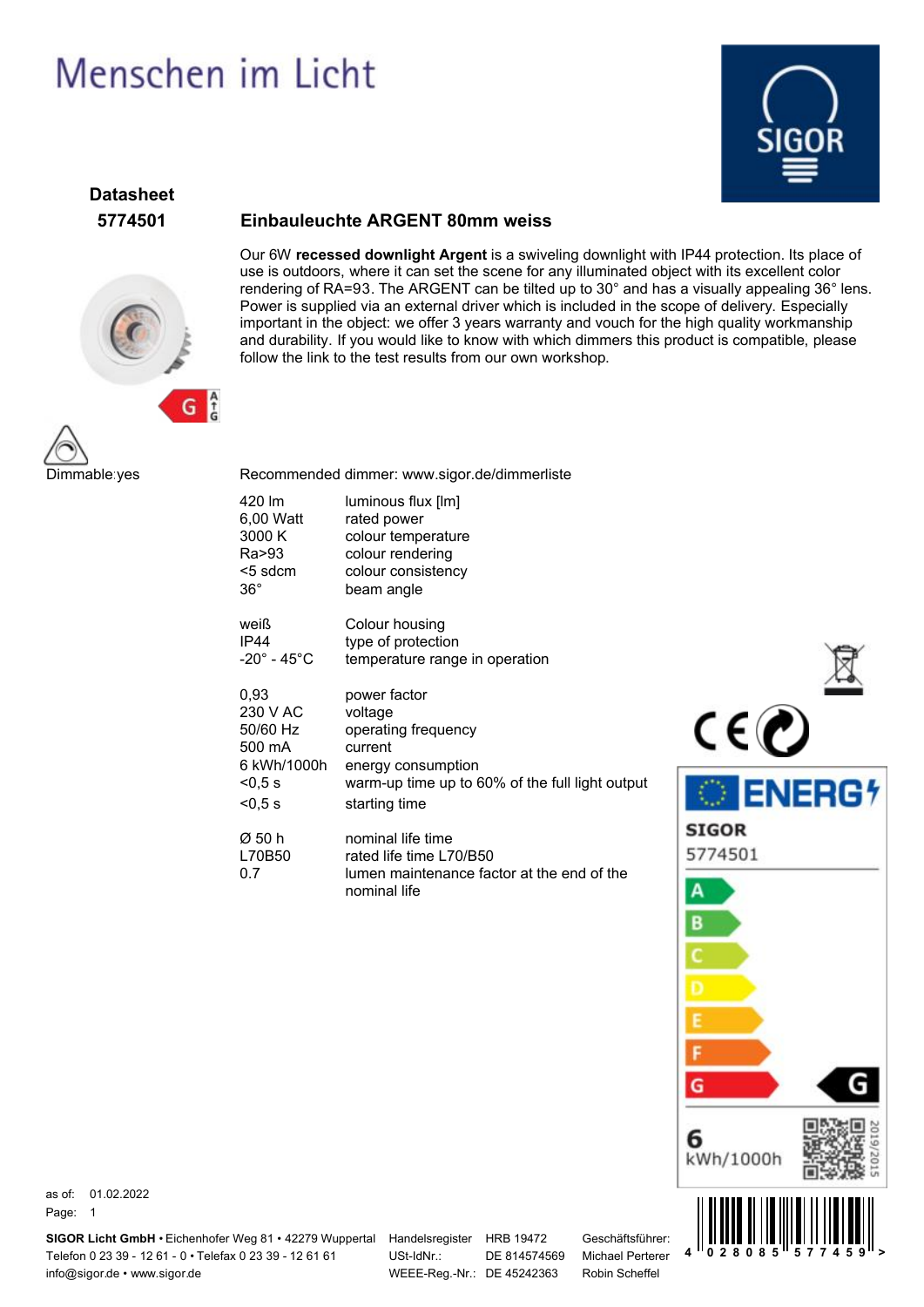# Menschen im Licht



# **Datasheet**



#### **5774501 Einbauleuchte ARGENT 80mm weiss**

Our 6W **recessed downlight Argent** is a swiveling downlight with IP44 protection. Its place of use is outdoors, where it can set the scene for any illuminated object with its excellent color rendering of RA=93. The ARGENT can be tilted up to 30° and has a visually appealing 36° lens. Power is supplied via an external driver which is included in the scope of delivery. Especially important in the object: we offer 3 years warranty and vouch for the high quality workmanship and durability. If you would like to know with which dimmers this product is compatible, please follow the link to the test results from our own workshop.



Recommended dimmer: www.sigor.de/dimmerliste

| 420 lm                      | luminous flux [lm]                                                                                         |
|-----------------------------|------------------------------------------------------------------------------------------------------------|
| 6,00 Watt                   | rated power                                                                                                |
| 3000 K                      | colour temperature                                                                                         |
| Ra>93                       | colour rendering                                                                                           |
| <5 sdcm                     | colour consistency                                                                                         |
| $36^{\circ}$                | beam angle                                                                                                 |
| weiß                        | Colour housing                                                                                             |
| IP44                        | type of protection                                                                                         |
| $-20^\circ$ - 45 $^\circ$ C | temperature range in operation                                                                             |
| 0,93                        | power factor                                                                                               |
| 230 V AC                    | voltage                                                                                                    |
| 50/60 Hz                    | operating frequency                                                                                        |
| 500 mA                      | current                                                                                                    |
| 6 kWh/1000h                 | energy consumption                                                                                         |
| $<$ 0.5 s                   | warm-up time up to 60% of the full light output                                                            |
| < 0.5 s                     | starting time                                                                                              |
| Ø 50 h<br>L70B50<br>0.7     | nominal life time<br>rated life time L70/B50<br>lumen maintenance factor at the end of the<br>nominal life |



as of: 01.02.2022 Page: 1

**SIGOR Licht GmbH •** Eichenhofer Weg 81 • 42279 Wuppertal Handelsregister HRB 19472 Telefon 0 23 39 - 12 61 - 0 • Telefax 0 23 39 - 12 61 61 info@sigor.de • www.sigor.de

USt-IdNr.: WEEE-Reg.-Nr.: DE 45242363

DE 814574569

Geschäftsführer: Michael Perterer Robin Scheffel